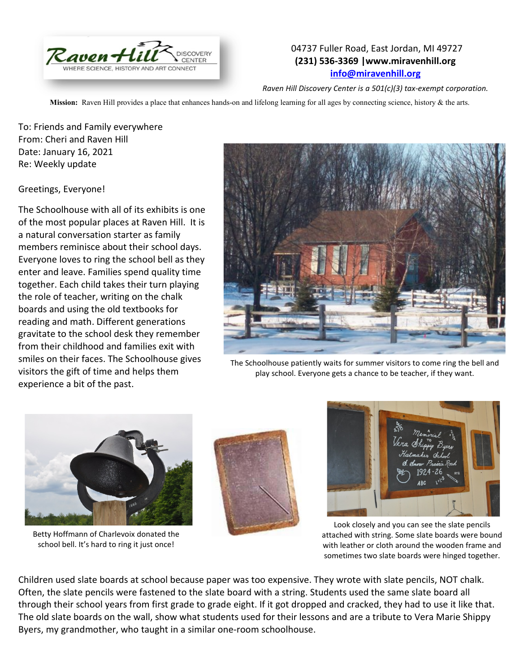

## 04737 Fuller Road, East Jordan, MI 49727 **(231) 536-3369 |www.miravenhill.org [info@miravenhill.org](mailto:info@miravenhill.org)**

*Raven Hill Discovery Center is a 501(c)(3) tax-exempt corporation.*

**Mission:** Raven Hill provides a place that enhances hands-on and lifelong learning for all ages by connecting science, history & the arts.

To: Friends and Family everywhere From: Cheri and Raven Hill Date: January 16, 2021 Re: Weekly update

Greetings, Everyone!

The Schoolhouse with all of its exhibits is one of the most popular places at Raven Hill. It is a natural conversation starter as family members reminisce about their school days. Everyone loves to ring the school bell as they enter and leave. Families spend quality time together. Each child takes their turn playing the role of teacher, writing on the chalk boards and using the old textbooks for reading and math. Different generations gravitate to the school desk they remember from their childhood and families exit with smiles on their faces. The Schoolhouse gives visitors the gift of time and helps them experience a bit of the past.



The Schoolhouse patiently waits for summer visitors to come ring the bell and play school. Everyone gets a chance to be teacher, if they want.



Betty Hoffmann of Charlevoix donated the school bell. It's hard to ring it just once!





Look closely and you can see the slate pencils attached with string. Some slate boards were bound with leather or cloth around the wooden frame and sometimes two slate boards were hinged together.

Children used slate boards at school because paper was too expensive. They wrote with slate pencils, NOT chalk. Often, the slate pencils were fastened to the slate board with a string. Students used the same slate board all through their school years from first grade to grade eight. If it got dropped and cracked, they had to use it like that. The old slate boards on the wall, show what students used for their lessons and are a tribute to Vera Marie Shippy Byers, my grandmother, who taught in a similar one-room schoolhouse.